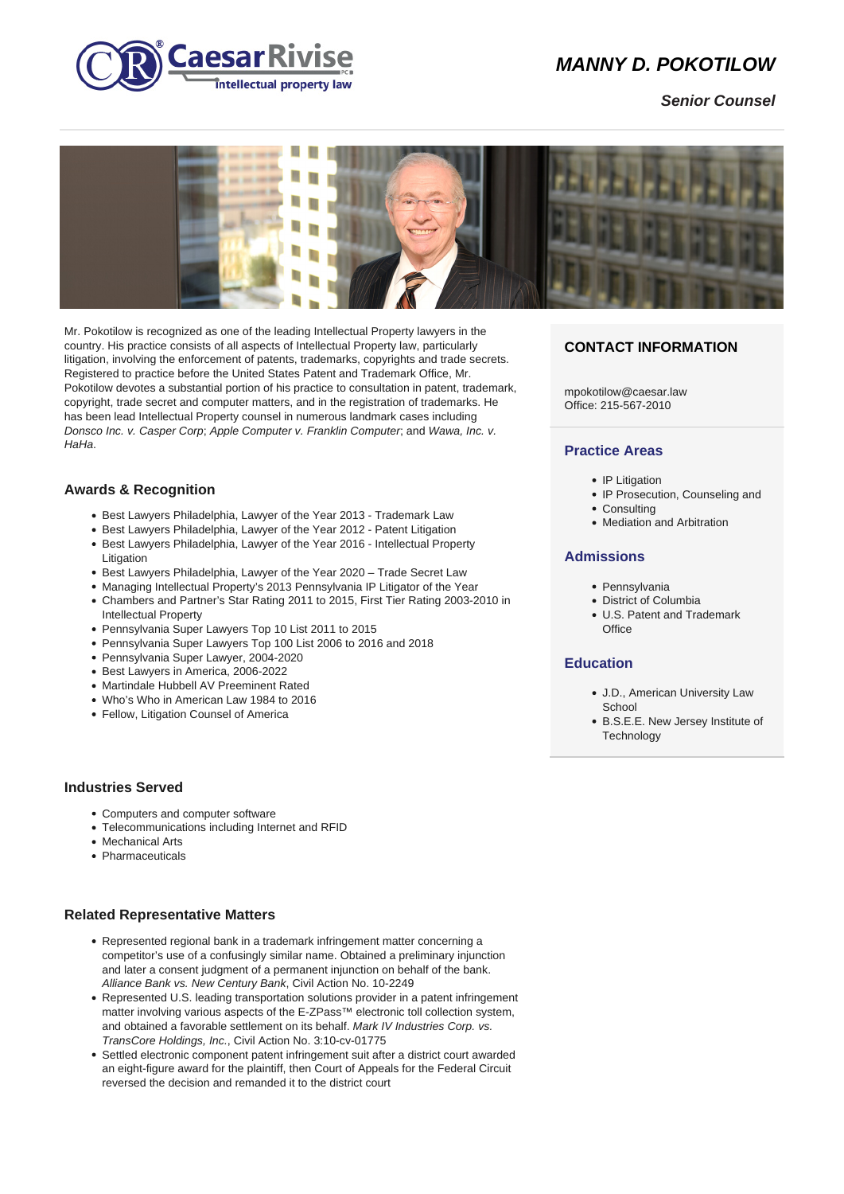

# **MANNY D. POKOTILOW**

**Senior Counsel**



Mr. Pokotilow is recognized as one of the leading Intellectual Property lawyers in the country. His practice consists of all aspects of Intellectual Property law, particularly litigation, involving the enforcement of patents, trademarks, copyrights and trade secrets. Registered to practice before the United States Patent and Trademark Office, Mr. Pokotilow devotes a substantial portion of his practice to consultation in patent, trademark, copyright, trade secret and computer matters, and in the registration of trademarks. He has been lead Intellectual Property counsel in numerous landmark cases including Donsco Inc. v. Casper Corp; Apple Computer v. Franklin Computer; and Wawa, Inc. v. HaHa.

## **Awards & Recognition**

- Best Lawyers Philadelphia, Lawyer of the Year 2013 Trademark Law
- Best Lawyers Philadelphia, Lawyer of the Year 2012 Patent Litigation
- Best Lawyers Philadelphia, Lawyer of the Year 2016 Intellectual Property Litigation
- Best Lawyers Philadelphia, Lawyer of the Year 2020 Trade Secret Law
- Managing Intellectual Property's 2013 Pennsylvania IP Litigator of the Year
- Chambers and Partner's Star Rating 2011 to 2015, First Tier Rating 2003-2010 in Intellectual Property
- Pennsylvania Super Lawyers Top 10 List 2011 to 2015
- Pennsylvania Super Lawyers Top 100 List 2006 to 2016 and 2018
- Pennsylvania Super Lawyer, 2004-2020
- Best Lawyers in America, 2006-2022
- Martindale Hubbell AV Preeminent Rated
- Who's Who in American Law 1984 to 2016
- Fellow, Litigation Counsel of America

#### **Industries Served**

- Computers and computer software
- Telecommunications including Internet and RFID
- Mechanical Arts
- Pharmaceuticals

#### **Related Representative Matters**

- Represented regional bank in a trademark infringement matter concerning a competitor's use of a confusingly similar name. Obtained a preliminary injunction and later a consent judgment of a permanent injunction on behalf of the bank. Alliance Bank vs. New Century Bank, Civil Action No. 10-2249
- Represented U.S. leading transportation solutions provider in a patent infringement matter involving various aspects of the E-ZPass™ electronic toll collection system, and obtained a favorable settlement on its behalf. Mark IV Industries Corp. vs. TransCore Holdings, Inc., Civil Action No. 3:10-cv-01775
- Settled electronic component patent infringement suit after a district court awarded an eight-figure award for the plaintiff, then Court of Appeals for the Federal Circuit reversed the decision and remanded it to the district court

## **CONTACT INFORMATION**

mpokotilow@caesar.law Office: 215-567-2010

#### **Practice Areas**

- IP Litigation
- IP Prosecution, Counseling and
- Consulting
- Mediation and Arbitration

#### **Admissions**

- Pennsylvania
- District of Columbia
- U.S. Patent and Trademark **Office**

# **Education**

- J.D., American University Law **School**
- B.S.E.E. New Jersey Institute of **Technology**